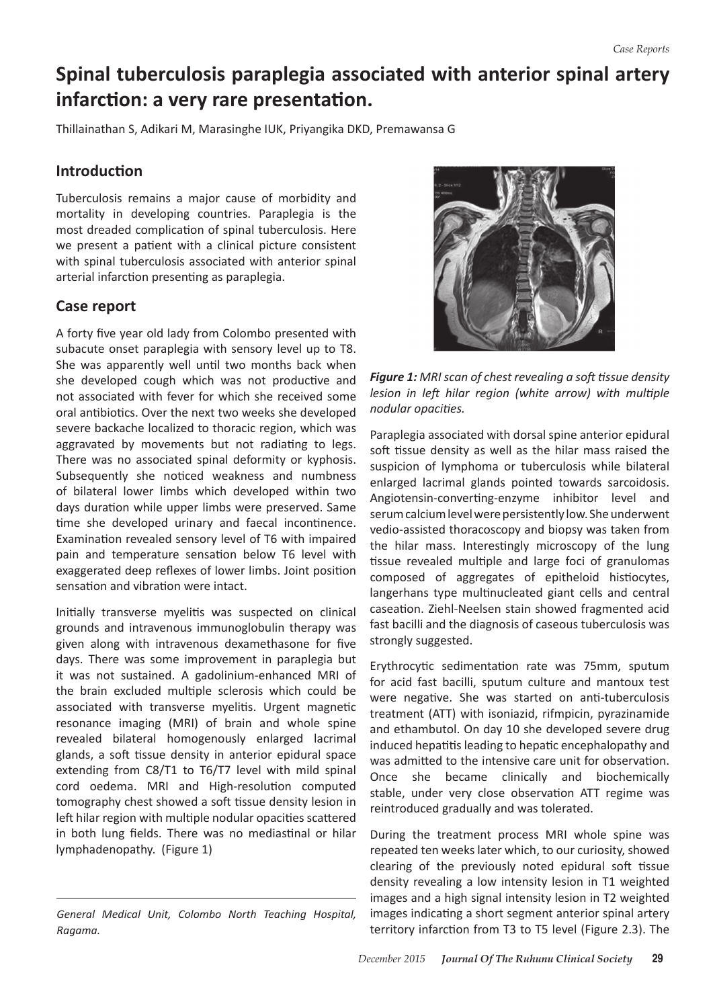# **Spinal tuberculosis paraplegia associated with anterior spinal artery infarction: a very rare presentation.**

Thillainathan S, Adikari M, Marasinghe IUK, Priyangika DKD, Premawansa G

## **Introduction**

Tuberculosis remains a major cause of morbidity and mortality in developing countries. Paraplegia is the most dreaded complication of spinal tuberculosis. Here we present a patient with a clinical picture consistent with spinal tuberculosis associated with anterior spinal arterial infarction presenting as paraplegia.

## **Case report**

A forty five year old lady from Colombo presented with subacute onset paraplegia with sensory level up to T8. She was apparently well until two months back when she developed cough which was not productive and not associated with fever for which she received some oral antibiotics. Over the next two weeks she developed severe backache localized to thoracic region, which was aggravated by movements but not radiating to legs. There was no associated spinal deformity or kyphosis. Subsequently she noticed weakness and numbness of bilateral lower limbs which developed within two days duration while upper limbs were preserved. Same time she developed urinary and faecal incontinence. Examination revealed sensory level of T6 with impaired pain and temperature sensation below T6 level with exaggerated deep reflexes of lower limbs. Joint position sensation and vibration were intact.

Initially transverse myelitis was suspected on clinical grounds and intravenous immunoglobulin therapy was given along with intravenous dexamethasone for five days. There was some improvement in paraplegia but it was not sustained. A gadolinium-enhanced MRI of the brain excluded multiple sclerosis which could be associated with transverse myelitis. Urgent magnetic resonance imaging (MRI) of brain and whole spine revealed bilateral homogenously enlarged lacrimal glands, a soft tissue density in anterior epidural space extending from C8/T1 to T6/T7 level with mild spinal cord oedema. MRI and High-resolution computed tomography chest showed a soft tissue density lesion in left hilar region with multiple nodular opacities scattered in both lung fields. There was no mediastinal or hilar lymphadenopathy. (Figure 1)





*Figure 1: MRI scan of chest revealing a soft tissue density lesion in left hilar region (white arrow) with multiple nodular opacities.*

Paraplegia associated with dorsal spine anterior epidural soft tissue density as well as the hilar mass raised the suspicion of lymphoma or tuberculosis while bilateral enlarged lacrimal glands pointed towards sarcoidosis. Angiotensin-converting-enzyme inhibitor level and serum calcium level were persistently low. She underwent vedio-assisted thoracoscopy and biopsy was taken from the hilar mass. Interestingly microscopy of the lung tissue revealed multiple and large foci of granulomas composed of aggregates of epitheloid histiocytes, langerhans type multinucleated giant cells and central caseation. Ziehl-Neelsen stain showed fragmented acid fast bacilli and the diagnosis of caseous tuberculosis was strongly suggested.

Erythrocytic sedimentation rate was 75mm, sputum for acid fast bacilli, sputum culture and mantoux test were negative. She was started on anti-tuberculosis treatment (ATT) with isoniazid, rifmpicin, pyrazinamide and ethambutol. On day 10 she developed severe drug induced hepatitisleading to hepatic encephalopathy and was admitted to the intensive care unit for observation. Once she became clinically and biochemically stable, under very close observation ATT regime was reintroduced gradually and was tolerated.

During the treatment process MRI whole spine was repeated ten weeks later which, to our curiosity, showed clearing of the previously noted epidural soft tissue density revealing a low intensity lesion in T1 weighted images and a high signal intensity lesion in T2 weighted images indicating a short segment anterior spinal artery territory infarction from T3 to T5 level (Figure 2.3). The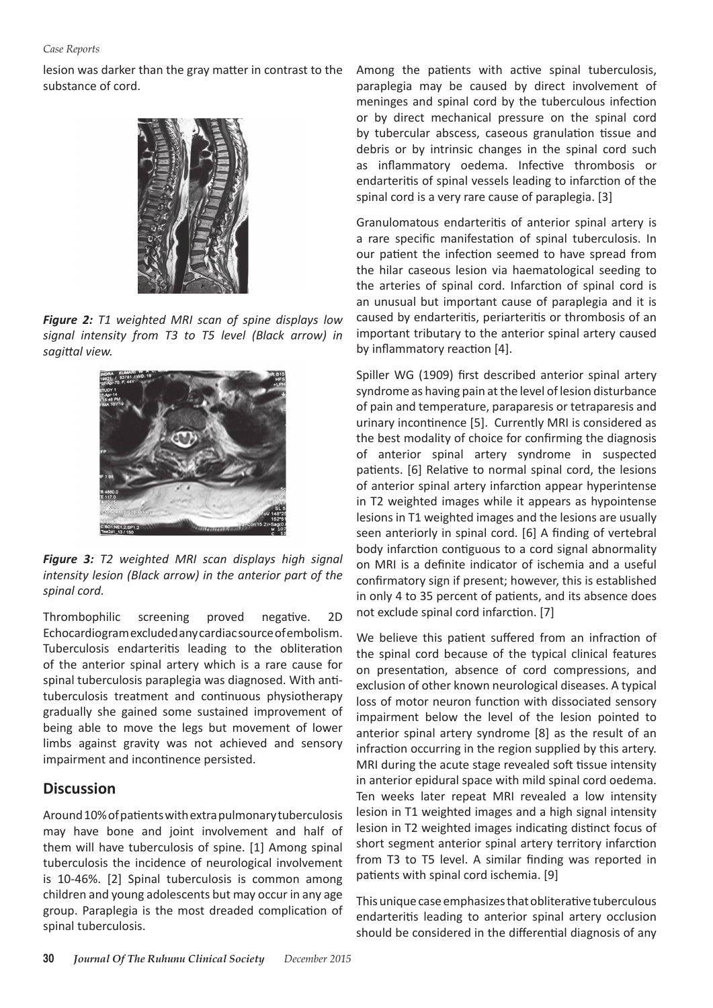#### *Case Reports*

lesion was darker than the gray matter in contrast to the substance of cord.



*Figure 2: T1 weighted MRI scan of spine displays low signal intensity from T3 to T5 level (Black arrow) in sagittal view.* 



*Figure 3: T2 weighted MRI scan displays high signal intensity lesion (Black arrow) in the anterior part of the spinal cord.*

Thrombophilic screening proved negative. 2D Echocardiogram excluded any cardiac source of embolism. Tuberculosis endarteritis leading to the obliteration of the anterior spinal artery which is a rare cause for spinal tuberculosis paraplegia was diagnosed. With antituberculosis treatment and continuous physiotherapy gradually she gained some sustained improvement of being able to move the legs but movement of lower limbs against gravity was not achieved and sensory impairment and incontinence persisted.

### **Discussion**

Around10%ofpatientswithextrapulmonarytuberculosis may have bone and joint involvement and half of them will have tuberculosis of spine. [1] Among spinal tuberculosis the incidence of neurological involvement is 10-46%. [2] Spinal tuberculosis is common among children and young adolescents but may occur in any age group. Paraplegia is the most dreaded complication of spinal tuberculosis.

Among the patients with active spinal tuberculosis, paraplegia may be caused by direct involvement of meninges and spinal cord by the tuberculous infection or by direct mechanical pressure on the spinal cord by tubercular abscess, caseous granulation tissue and debris or by intrinsic changes in the spinal cord such as inflammatory oedema. Infective thrombosis or endarteritis of spinal vessels leading to infarction of the spinal cord is a very rare cause of paraplegia. [3]

Granulomatous endarteritis of anterior spinal artery is a rare specific manifestation of spinal tuberculosis. In our patient the infection seemed to have spread from the hilar caseous lesion via haematological seeding to the arteries of spinal cord. Infarction of spinal cord is an unusual but important cause of paraplegia and it is caused by endarteritis, periarteritis or thrombosis of an important tributary to the anterior spinal artery caused by inflammatory reaction [4].

Spiller WG (1909) first described anterior spinal artery syndrome as having pain at the level of lesion disturbance of pain and temperature, paraparesis or tetraparesis and urinary incontinence [5]. Currently MRI is considered as the best modality of choice for confirming the diagnosis of anterior spinal artery syndrome in suspected patients. [6] Relative to normal spinal cord, the lesions of anterior spinal artery infarction appear hyperintense in T2 weighted images while it appears as hypointense lesions in T1 weighted images and the lesions are usually seen anteriorly in spinal cord. [6] A finding of vertebral body infarction contiguous to a cord signal abnormality on MRI is a definite indicator of ischemia and a useful confirmatory sign if present; however, this is established in only 4 to 35 percent of patients, and its absence does not exclude spinal cord infarction. [7]

We believe this patient suffered from an infraction of the spinal cord because of the typical clinical features on presentation, absence of cord compressions, and exclusion of other known neurological diseases. A typical loss of motor neuron function with dissociated sensory impairment below the level of the lesion pointed to anterior spinal artery syndrome [8] as the result of an infraction occurring in the region supplied by this artery. MRI during the acute stage revealed soft tissue intensity in anterior epidural space with mild spinal cord oedema. Ten weeks later repeat MRI revealed a low intensity lesion in T1 weighted images and a high signal intensity lesion in T2 weighted images indicating distinct focus of short segment anterior spinal artery territory infarction from T3 to T5 level. A similar finding was reported in patients with spinal cord ischemia. [9]

This unique case emphasizes that obliterative tuberculous endarteritis leading to anterior spinal artery occlusion should be considered in the differential diagnosis of any